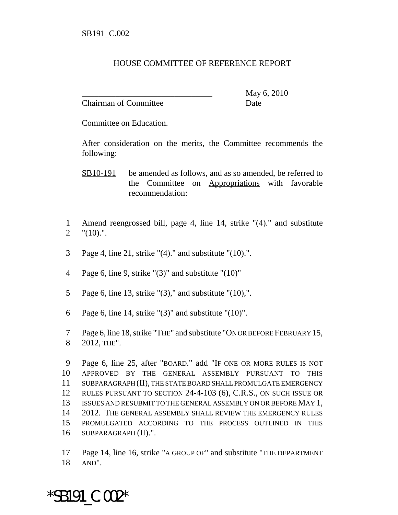## HOUSE COMMITTEE OF REFERENCE REPORT

Chairman of Committee Date

\_\_\_\_\_\_\_\_\_\_\_\_\_\_\_\_\_\_\_\_\_\_\_\_\_\_\_\_\_\_\_ May 6, 2010

Committee on Education.

After consideration on the merits, the Committee recommends the following:

SB10-191 be amended as follows, and as so amended, be referred to the Committee on Appropriations with favorable recommendation:

- 1 Amend reengrossed bill, page 4, line 14, strike "(4)." and substitute  $2$  "(10).".
- 3 Page 4, line 21, strike "(4)." and substitute "(10).".
- 4 Page 6, line 9, strike "(3)" and substitute "(10)"
- 5 Page 6, line 13, strike "(3)," and substitute "(10),".
- 6 Page 6, line 14, strike " $(3)$ " and substitute " $(10)$ ".

7 Page 6, line 18, strike "THE" and substitute "ON OR BEFORE FEBRUARY 15, 8 2012, THE".

 Page 6, line 25, after "BOARD." add "IF ONE OR MORE RULES IS NOT APPROVED BY THE GENERAL ASSEMBLY PURSUANT TO THIS SUBPARAGRAPH (II), THE STATE BOARD SHALL PROMULGATE EMERGENCY RULES PURSUANT TO SECTION 24-4-103 (6), C.R.S., ON SUCH ISSUE OR ISSUES AND RESUBMIT TO THE GENERAL ASSEMBLY ON OR BEFORE MAY 1, 2012. THE GENERAL ASSEMBLY SHALL REVIEW THE EMERGENCY RULES PROMULGATED ACCORDING TO THE PROCESS OUTLINED IN THIS SUBPARAGRAPH (II).".

17 Page 14, line 16, strike "A GROUP OF" and substitute "THE DEPARTMENT 18 AND".

\*SB191\_C.002\*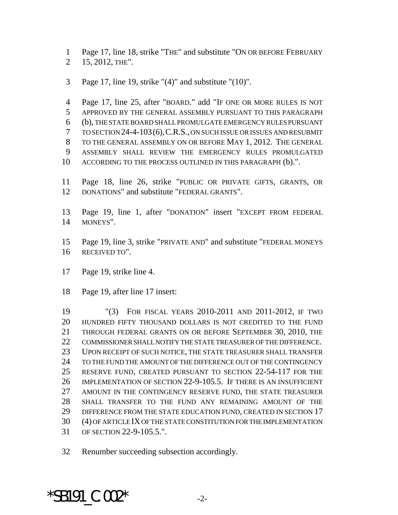Page 17, line 18, strike "THE" and substitute "ON OR BEFORE FEBRUARY

- 2 15, 2012, THE".
- Page 17, line 19, strike "(4)" and substitute "(10)".

 Page 17, line 25, after "BOARD." add "IF ONE OR MORE RULES IS NOT APPROVED BY THE GENERAL ASSEMBLY PURSUANT TO THIS PARAGRAPH (b), THE STATE BOARD SHALL PROMULGATE EMERGENCY RULES PURSUANT TO SECTION 24-4-103(6),C.R.S., ON SUCH ISSUE OR ISSUES AND RESUBMIT TO THE GENERAL ASSEMBLY ON OR BEFORE MAY 1, 2012. THE GENERAL ASSEMBLY SHALL REVIEW THE EMERGENCY RULES PROMULGATED 10 ACCORDING TO THE PROCESS OUTLINED IN THIS PARAGRAPH (b).".

- Page 18, line 26, strike "PUBLIC OR PRIVATE GIFTS, GRANTS, OR DONATIONS" and substitute "FEDERAL GRANTS".
- Page 19, line 1, after "DONATION" insert "EXCEPT FROM FEDERAL MONEYS".
- Page 19, line 3, strike "PRIVATE AND" and substitute "FEDERAL MONEYS RECEIVED TO".
- Page 19, strike line 4.
- Page 19, after line 17 insert:

 "(3) FOR FISCAL YEARS 2010-2011 AND 2011-2012, IF TWO HUNDRED FIFTY THOUSAND DOLLARS IS NOT CREDITED TO THE FUND THROUGH FEDERAL GRANTS ON OR BEFORE SEPTEMBER 30, 2010, THE COMMISSIONER SHALL NOTIFY THE STATE TREASURER OF THE DIFFERENCE. UPON RECEIPT OF SUCH NOTICE, THE STATE TREASURER SHALL TRANSFER TO THE FUND THE AMOUNT OF THE DIFFERENCE OUT OF THE CONTINGENCY RESERVE FUND, CREATED PURSUANT TO SECTION 22-54-117 FOR THE IMPLEMENTATION OF SECTION 22-9-105.5. IF THERE IS AN INSUFFICIENT AMOUNT IN THE CONTINGENCY RESERVE FUND, THE STATE TREASURER SHALL TRANSFER TO THE FUND ANY REMAINING AMOUNT OF THE 29 DIFFERENCE FROM THE STATE EDUCATION FUND, CREATED IN SECTION 17 (4) OF ARTICLE IX OF THE STATE CONSTITUTION FOR THE IMPLEMENTATION OF SECTION 22-9-105.5.".

Renumber succeeding subsection accordingly.

## $*$ SB191 C.002 $*$  -2-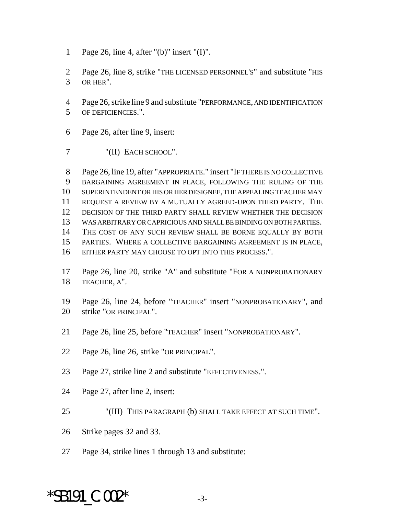- Page 26, line 4, after "(b)" insert "(I)".
- Page 26, line 8, strike "THE LICENSED PERSONNEL'S" and substitute "HIS OR HER".
- Page 26, strike line 9 and substitute "PERFORMANCE, AND IDENTIFICATION OF DEFICIENCIES.".
- Page 26, after line 9, insert:
- "(II) EACH SCHOOL".

 Page 26, line 19, after "APPROPRIATE." insert "IF THERE IS NO COLLECTIVE BARGAINING AGREEMENT IN PLACE, FOLLOWING THE RULING OF THE SUPERINTENDENT OR HIS OR HER DESIGNEE, THE APPEALING TEACHER MAY REQUEST A REVIEW BY A MUTUALLY AGREED-UPON THIRD PARTY. THE DECISION OF THE THIRD PARTY SHALL REVIEW WHETHER THE DECISION WAS ARBITRARY OR CAPRICIOUS AND SHALL BE BINDING ON BOTH PARTIES. 14 THE COST OF ANY SUCH REVIEW SHALL BE BORNE EQUALLY BY BOTH PARTIES. WHERE A COLLECTIVE BARGAINING AGREEMENT IS IN PLACE, EITHER PARTY MAY CHOOSE TO OPT INTO THIS PROCESS.".

- Page 26, line 20, strike "A" and substitute "FOR A NONPROBATIONARY TEACHER, A".
- Page 26, line 24, before "TEACHER" insert "NONPROBATIONARY", and strike "OR PRINCIPAL".
- Page 26, line 25, before "TEACHER" insert "NONPROBATIONARY".
- Page 26, line 26, strike "OR PRINCIPAL".
- Page 27, strike line 2 and substitute "EFFECTIVENESS.".
- Page 27, after line 2, insert:
- "(III) THIS PARAGRAPH (b) SHALL TAKE EFFECT AT SUCH TIME".
- Strike pages 32 and 33.
- Page 34, strike lines 1 through 13 and substitute:

## $*$ SB191 C.002 $*$  -3-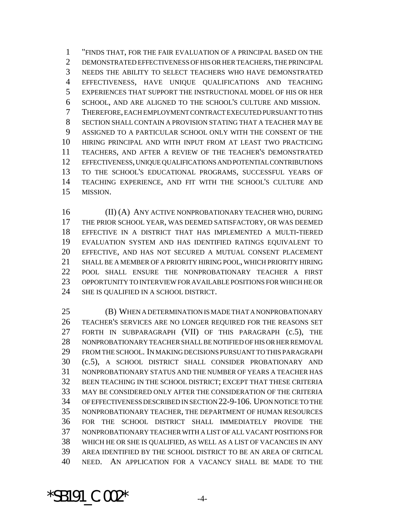"FINDS THAT, FOR THE FAIR EVALUATION OF A PRINCIPAL BASED ON THE DEMONSTRATED EFFECTIVENESS OF HIS OR HER TEACHERS, THE PRINCIPAL NEEDS THE ABILITY TO SELECT TEACHERS WHO HAVE DEMONSTRATED EFFECTIVENESS, HAVE UNIQUE QUALIFICATIONS AND TEACHING EXPERIENCES THAT SUPPORT THE INSTRUCTIONAL MODEL OF HIS OR HER SCHOOL, AND ARE ALIGNED TO THE SCHOOL'S CULTURE AND MISSION. THEREFORE, EACH EMPLOYMENT CONTRACT EXECUTED PURSUANT TO THIS SECTION SHALL CONTAIN A PROVISION STATING THAT A TEACHER MAY BE ASSIGNED TO A PARTICULAR SCHOOL ONLY WITH THE CONSENT OF THE HIRING PRINCIPAL AND WITH INPUT FROM AT LEAST TWO PRACTICING TEACHERS, AND AFTER A REVIEW OF THE TEACHER'S DEMONSTRATED EFFECTIVENESS, UNIQUE QUALIFICATIONS AND POTENTIAL CONTRIBUTIONS TO THE SCHOOL'S EDUCATIONAL PROGRAMS, SUCCESSFUL YEARS OF TEACHING EXPERIENCE, AND FIT WITH THE SCHOOL'S CULTURE AND MISSION.

 (II) (A) ANY ACTIVE NONPROBATIONARY TEACHER WHO, DURING THE PRIOR SCHOOL YEAR, WAS DEEMED SATISFACTORY, OR WAS DEEMED EFFECTIVE IN A DISTRICT THAT HAS IMPLEMENTED A MULTI-TIERED EVALUATION SYSTEM AND HAS IDENTIFIED RATINGS EQUIVALENT TO EFFECTIVE, AND HAS NOT SECURED A MUTUAL CONSENT PLACEMENT SHALL BE A MEMBER OF A PRIORITY HIRING POOL, WHICH PRIORITY HIRING POOL SHALL ENSURE THE NONPROBATIONARY TEACHER A FIRST OPPORTUNITY TO INTERVIEW FOR AVAILABLE POSITIONS FOR WHICH HE OR SHE IS QUALIFIED IN A SCHOOL DISTRICT.

 (B) WHEN A DETERMINATION IS MADE THAT A NONPROBATIONARY TEACHER'S SERVICES ARE NO LONGER REQUIRED FOR THE REASONS SET FORTH IN SUBPARAGRAPH (VII) OF THIS PARAGRAPH (c.5), THE NONPROBATIONARY TEACHER SHALL BE NOTIFIED OF HIS OR HER REMOVAL FROM THE SCHOOL. IN MAKING DECISIONS PURSUANT TO THIS PARAGRAPH (c.5), A SCHOOL DISTRICT SHALL CONSIDER PROBATIONARY AND NONPROBATIONARY STATUS AND THE NUMBER OF YEARS A TEACHER HAS BEEN TEACHING IN THE SCHOOL DISTRICT; EXCEPT THAT THESE CRITERIA MAY BE CONSIDERED ONLY AFTER THE CONSIDERATION OF THE CRITERIA OF EFFECTIVENESS DESCRIBED IN SECTION 22-9-106. UPON NOTICE TO THE NONPROBATIONARY TEACHER, THE DEPARTMENT OF HUMAN RESOURCES FOR THE SCHOOL DISTRICT SHALL IMMEDIATELY PROVIDE THE NONPROBATIONARY TEACHER WITH A LIST OF ALL VACANT POSITIONS FOR WHICH HE OR SHE IS QUALIFIED, AS WELL AS A LIST OF VACANCIES IN ANY AREA IDENTIFIED BY THE SCHOOL DISTRICT TO BE AN AREA OF CRITICAL NEED. AN APPLICATION FOR A VACANCY SHALL BE MADE TO THE

 $*$ SB191  $C.002*$   $-4-$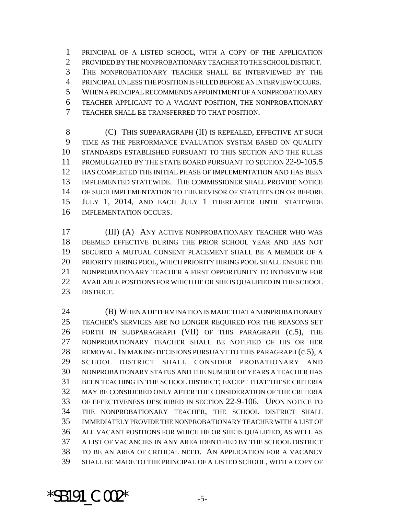PRINCIPAL OF A LISTED SCHOOL, WITH A COPY OF THE APPLICATION PROVIDED BY THE NONPROBATIONARY TEACHER TO THE SCHOOL DISTRICT. THE NONPROBATIONARY TEACHER SHALL BE INTERVIEWED BY THE PRINCIPAL UNLESS THE POSITION IS FILLED BEFORE AN INTERVIEW OCCURS. WHEN A PRINCIPAL RECOMMENDS APPOINTMENT OF A NONPROBATIONARY TEACHER APPLICANT TO A VACANT POSITION, THE NONPROBATIONARY TEACHER SHALL BE TRANSFERRED TO THAT POSITION.

**(C)** THIS SUBPARAGRAPH **(II)** IS REPEALED, EFFECTIVE AT SUCH TIME AS THE PERFORMANCE EVALUATION SYSTEM BASED ON QUALITY STANDARDS ESTABLISHED PURSUANT TO THIS SECTION AND THE RULES PROMULGATED BY THE STATE BOARD PURSUANT TO SECTION 22-9-105.5 HAS COMPLETED THE INITIAL PHASE OF IMPLEMENTATION AND HAS BEEN IMPLEMENTED STATEWIDE. THE COMMISSIONER SHALL PROVIDE NOTICE OF SUCH IMPLEMENTATION TO THE REVISOR OF STATUTES ON OR BEFORE JULY 1, 2014, AND EACH JULY 1 THEREAFTER UNTIL STATEWIDE IMPLEMENTATION OCCURS.

 (III) (A) ANY ACTIVE NONPROBATIONARY TEACHER WHO WAS DEEMED EFFECTIVE DURING THE PRIOR SCHOOL YEAR AND HAS NOT SECURED A MUTUAL CONSENT PLACEMENT SHALL BE A MEMBER OF A PRIORITY HIRING POOL, WHICH PRIORITY HIRING POOL SHALL ENSURE THE NONPROBATIONARY TEACHER A FIRST OPPORTUNITY TO INTERVIEW FOR AVAILABLE POSITIONS FOR WHICH HE OR SHE IS QUALIFIED IN THE SCHOOL DISTRICT.

 (B) WHEN A DETERMINATION IS MADE THAT A NONPROBATIONARY TEACHER'S SERVICES ARE NO LONGER REQUIRED FOR THE REASONS SET FORTH IN SUBPARAGRAPH (VII) OF THIS PARAGRAPH (c.5), THE NONPROBATIONARY TEACHER SHALL BE NOTIFIED OF HIS OR HER REMOVAL. IN MAKING DECISIONS PURSUANT TO THIS PARAGRAPH (c.5), A SCHOOL DISTRICT SHALL CONSIDER PROBATIONARY AND NONPROBATIONARY STATUS AND THE NUMBER OF YEARS A TEACHER HAS BEEN TEACHING IN THE SCHOOL DISTRICT; EXCEPT THAT THESE CRITERIA MAY BE CONSIDERED ONLY AFTER THE CONSIDERATION OF THE CRITERIA OF EFFECTIVENESS DESCRIBED IN SECTION 22-9-106. UPON NOTICE TO THE NONPROBATIONARY TEACHER, THE SCHOOL DISTRICT SHALL IMMEDIATELY PROVIDE THE NONPROBATIONARY TEACHER WITH A LIST OF ALL VACANT POSITIONS FOR WHICH HE OR SHE IS QUALIFIED, AS WELL AS A LIST OF VACANCIES IN ANY AREA IDENTIFIED BY THE SCHOOL DISTRICT TO BE AN AREA OF CRITICAL NEED. AN APPLICATION FOR A VACANCY SHALL BE MADE TO THE PRINCIPAL OF A LISTED SCHOOL, WITH A COPY OF

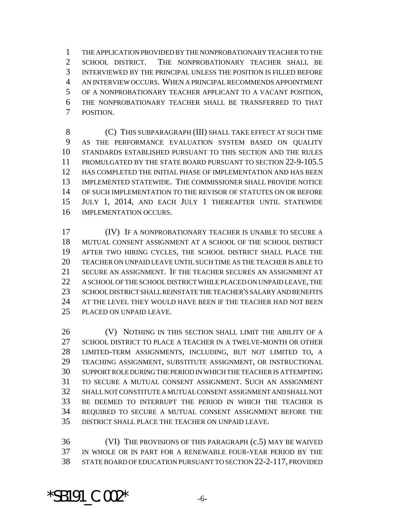THE APPLICATION PROVIDED BY THE NONPROBATIONARY TEACHER TO THE SCHOOL DISTRICT. THE NONPROBATIONARY TEACHER SHALL BE INTERVIEWED BY THE PRINCIPAL UNLESS THE POSITION IS FILLED BEFORE AN INTERVIEW OCCURS. WHEN A PRINCIPAL RECOMMENDS APPOINTMENT OF A NONPROBATIONARY TEACHER APPLICANT TO A VACANT POSITION, THE NONPROBATIONARY TEACHER SHALL BE TRANSFERRED TO THAT POSITION.

**(C)** THIS SUBPARAGRAPH (III) SHALL TAKE EFFECT AT SUCH TIME AS THE PERFORMANCE EVALUATION SYSTEM BASED ON QUALITY STANDARDS ESTABLISHED PURSUANT TO THIS SECTION AND THE RULES PROMULGATED BY THE STATE BOARD PURSUANT TO SECTION 22-9-105.5 HAS COMPLETED THE INITIAL PHASE OF IMPLEMENTATION AND HAS BEEN IMPLEMENTED STATEWIDE. THE COMMISSIONER SHALL PROVIDE NOTICE OF SUCH IMPLEMENTATION TO THE REVISOR OF STATUTES ON OR BEFORE JULY 1, 2014, AND EACH JULY 1 THEREAFTER UNTIL STATEWIDE IMPLEMENTATION OCCURS.

 (IV) IF A NONPROBATIONARY TEACHER IS UNABLE TO SECURE A MUTUAL CONSENT ASSIGNMENT AT A SCHOOL OF THE SCHOOL DISTRICT AFTER TWO HIRING CYCLES, THE SCHOOL DISTRICT SHALL PLACE THE TEACHER ON UNPAID LEAVE UNTIL SUCH TIME AS THE TEACHER IS ABLE TO SECURE AN ASSIGNMENT. IF THE TEACHER SECURES AN ASSIGNMENT AT A SCHOOL OF THE SCHOOL DISTRICT WHILE PLACED ON UNPAID LEAVE, THE SCHOOL DISTRICT SHALL REINSTATE THE TEACHER'S SALARY AND BENEFITS AT THE LEVEL THEY WOULD HAVE BEEN IF THE TEACHER HAD NOT BEEN PLACED ON UNPAID LEAVE.

 (V) NOTHING IN THIS SECTION SHALL LIMIT THE ABILITY OF A SCHOOL DISTRICT TO PLACE A TEACHER IN A TWELVE-MONTH OR OTHER LIMITED-TERM ASSIGNMENTS, INCLUDING, BUT NOT LIMITED TO, A TEACHING ASSIGNMENT, SUBSTITUTE ASSIGNMENT, OR INSTRUCTIONAL SUPPORT ROLE DURING THE PERIOD IN WHICH THE TEACHER IS ATTEMPTING TO SECURE A MUTUAL CONSENT ASSIGNMENT. SUCH AN ASSIGNMENT SHALL NOT CONSTITUTE A MUTUAL CONSENT ASSIGNMENT AND SHALL NOT BE DEEMED TO INTERRUPT THE PERIOD IN WHICH THE TEACHER IS REQUIRED TO SECURE A MUTUAL CONSENT ASSIGNMENT BEFORE THE DISTRICT SHALL PLACE THE TEACHER ON UNPAID LEAVE.

 (VI) THE PROVISIONS OF THIS PARAGRAPH (c.5) MAY BE WAIVED IN WHOLE OR IN PART FOR A RENEWABLE FOUR-YEAR PERIOD BY THE STATE BOARD OF EDUCATION PURSUANT TO SECTION 22-2-117, PROVIDED

 $*$ SB191  $C.002*$  -6-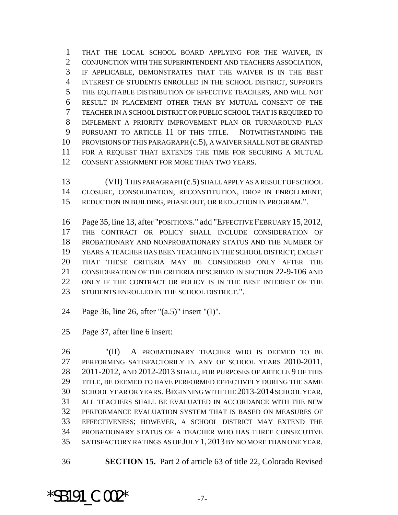THAT THE LOCAL SCHOOL BOARD APPLYING FOR THE WAIVER, IN CONJUNCTION WITH THE SUPERINTENDENT AND TEACHERS ASSOCIATION, IF APPLICABLE, DEMONSTRATES THAT THE WAIVER IS IN THE BEST INTEREST OF STUDENTS ENROLLED IN THE SCHOOL DISTRICT, SUPPORTS THE EQUITABLE DISTRIBUTION OF EFFECTIVE TEACHERS, AND WILL NOT RESULT IN PLACEMENT OTHER THAN BY MUTUAL CONSENT OF THE TEACHER IN A SCHOOL DISTRICT OR PUBLIC SCHOOL THAT IS REQUIRED TO IMPLEMENT A PRIORITY IMPROVEMENT PLAN OR TURNAROUND PLAN PURSUANT TO ARTICLE 11 OF THIS TITLE. NOTWITHSTANDING THE PROVISIONS OF THIS PARAGRAPH (c.5), A WAIVER SHALL NOT BE GRANTED FOR A REQUEST THAT EXTENDS THE TIME FOR SECURING A MUTUAL CONSENT ASSIGNMENT FOR MORE THAN TWO YEARS.

 (VII) THIS PARAGRAPH (c.5) SHALL APPLY AS A RESULT OF SCHOOL CLOSURE, CONSOLIDATION, RECONSTITUTION, DROP IN ENROLLMENT, REDUCTION IN BUILDING, PHASE OUT, OR REDUCTION IN PROGRAM.".

 Page 35, line 13, after "POSITIONS." add "EFFECTIVE FEBRUARY 15, 2012, THE CONTRACT OR POLICY SHALL INCLUDE CONSIDERATION OF PROBATIONARY AND NONPROBATIONARY STATUS AND THE NUMBER OF YEARS A TEACHER HAS BEEN TEACHING IN THE SCHOOL DISTRICT; EXCEPT THAT THESE CRITERIA MAY BE CONSIDERED ONLY AFTER THE CONSIDERATION OF THE CRITERIA DESCRIBED IN SECTION 22-9-106 AND ONLY IF THE CONTRACT OR POLICY IS IN THE BEST INTEREST OF THE 23 STUDENTS ENROLLED IN THE SCHOOL DISTRICT.".

Page 36, line 26, after "(a.5)" insert "(I)".

Page 37, after line 6 insert:

 "(II) A PROBATIONARY TEACHER WHO IS DEEMED TO BE PERFORMING SATISFACTORILY IN ANY OF SCHOOL YEARS 2010-2011, 2011-2012, AND 2012-2013 SHALL, FOR PURPOSES OF ARTICLE 9 OF THIS TITLE, BE DEEMED TO HAVE PERFORMED EFFECTIVELY DURING THE SAME SCHOOL YEAR OR YEARS. BEGINNING WITH THE 2013-2014 SCHOOL YEAR, ALL TEACHERS SHALL BE EVALUATED IN ACCORDANCE WITH THE NEW PERFORMANCE EVALUATION SYSTEM THAT IS BASED ON MEASURES OF EFFECTIVENESS; HOWEVER, A SCHOOL DISTRICT MAY EXTEND THE PROBATIONARY STATUS OF A TEACHER WHO HAS THREE CONSECUTIVE SATISFACTORY RATINGS AS OF JULY 1, 2013 BY NO MORE THAN ONE YEAR.

**SECTION 15.** Part 2 of article 63 of title 22, Colorado Revised

## $*$ SB191  $C.002*$  -7-